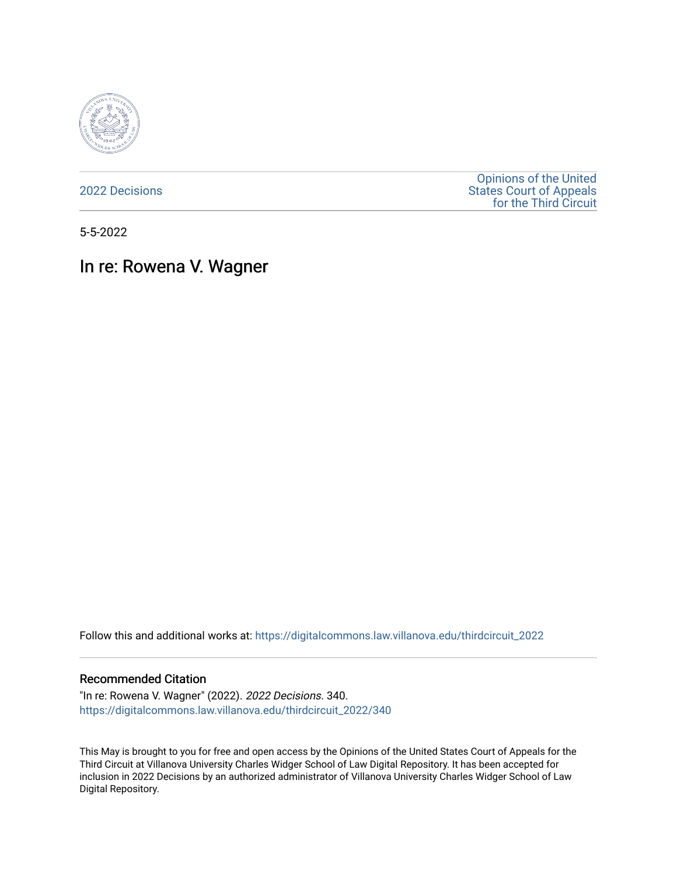

[2022 Decisions](https://digitalcommons.law.villanova.edu/thirdcircuit_2022)

[Opinions of the United](https://digitalcommons.law.villanova.edu/thirdcircuit)  [States Court of Appeals](https://digitalcommons.law.villanova.edu/thirdcircuit)  [for the Third Circuit](https://digitalcommons.law.villanova.edu/thirdcircuit) 

5-5-2022

# In re: Rowena V. Wagner

Follow this and additional works at: [https://digitalcommons.law.villanova.edu/thirdcircuit\\_2022](https://digitalcommons.law.villanova.edu/thirdcircuit_2022?utm_source=digitalcommons.law.villanova.edu%2Fthirdcircuit_2022%2F340&utm_medium=PDF&utm_campaign=PDFCoverPages) 

### Recommended Citation

"In re: Rowena V. Wagner" (2022). 2022 Decisions. 340. [https://digitalcommons.law.villanova.edu/thirdcircuit\\_2022/340](https://digitalcommons.law.villanova.edu/thirdcircuit_2022/340?utm_source=digitalcommons.law.villanova.edu%2Fthirdcircuit_2022%2F340&utm_medium=PDF&utm_campaign=PDFCoverPages)

This May is brought to you for free and open access by the Opinions of the United States Court of Appeals for the Third Circuit at Villanova University Charles Widger School of Law Digital Repository. It has been accepted for inclusion in 2022 Decisions by an authorized administrator of Villanova University Charles Widger School of Law Digital Repository.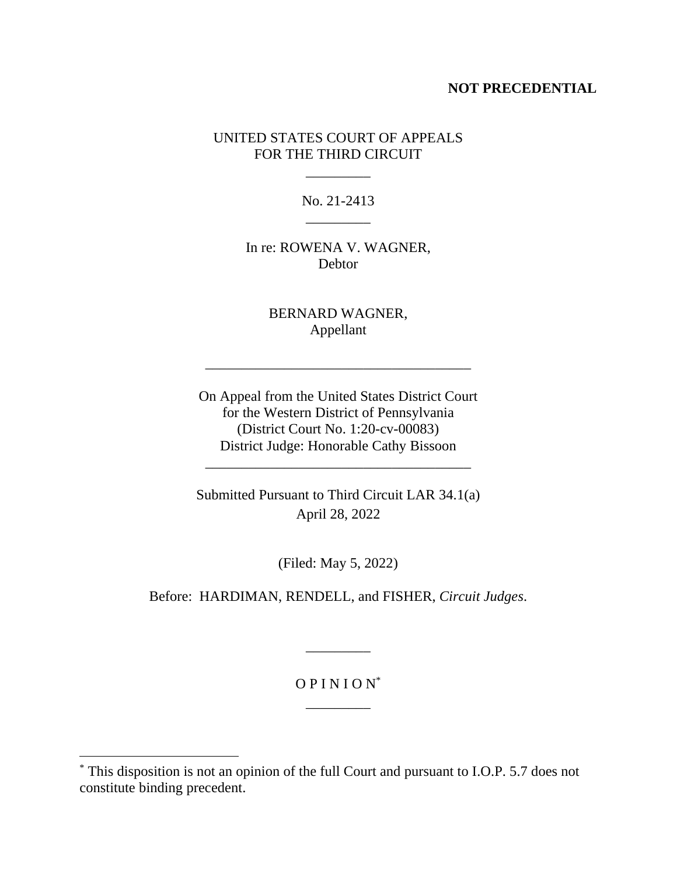## **NOT PRECEDENTIAL**

## UNITED STATES COURT OF APPEALS FOR THE THIRD CIRCUIT

No. 21-2413 \_\_\_\_\_\_\_\_\_

\_\_\_\_\_\_\_\_\_

In re: ROWENA V. WAGNER, **Debtor** 

> BERNARD WAGNER, Appellant

\_\_\_\_\_\_\_\_\_\_\_\_\_\_\_\_\_\_\_\_\_\_\_\_\_\_\_\_\_\_\_\_\_\_\_\_\_

On Appeal from the United States District Court for the Western District of Pennsylvania (District Court No. 1:20-cv-00083) District Judge: Honorable Cathy Bissoon

\_\_\_\_\_\_\_\_\_\_\_\_\_\_\_\_\_\_\_\_\_\_\_\_\_\_\_\_\_\_\_\_\_\_\_\_\_

Submitted Pursuant to Third Circuit LAR 34.1(a) April 28, 2022

(Filed: May 5, 2022)

Before: HARDIMAN, RENDELL, and FISHER, *Circuit Judges*.

O P I N I O N\* \_\_\_\_\_\_\_\_\_

\_\_\_\_\_\_\_\_\_

<sup>\*</sup> This disposition is not an opinion of the full Court and pursuant to I.O.P. 5.7 does not constitute binding precedent.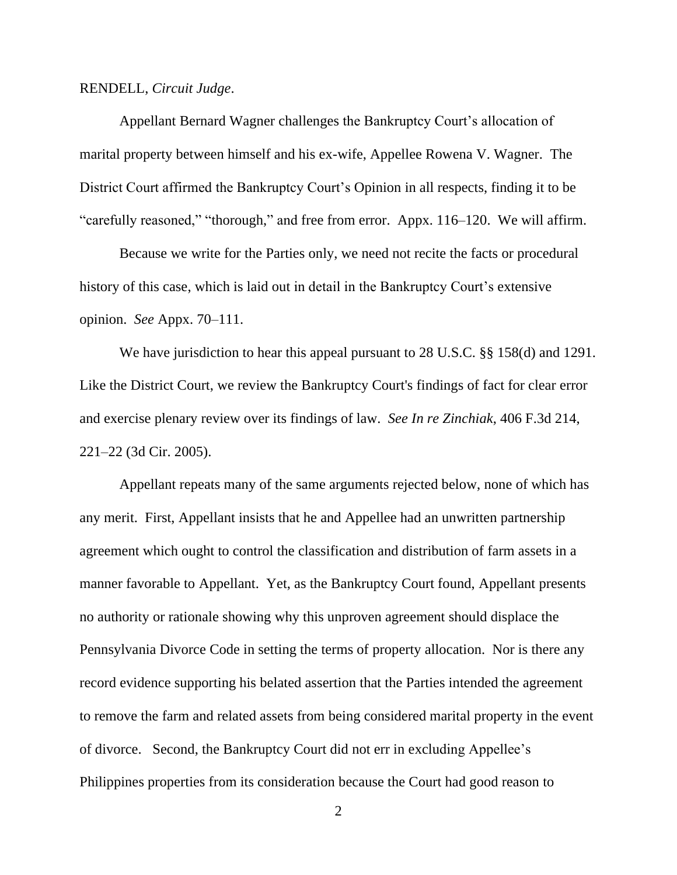#### RENDELL, *Circuit Judge*.

Appellant Bernard Wagner challenges the Bankruptcy Court's allocation of marital property between himself and his ex-wife, Appellee Rowena V. Wagner. The District Court affirmed the Bankruptcy Court's Opinion in all respects, finding it to be "carefully reasoned," "thorough," and free from error. Appx. 116–120. We will affirm.

Because we write for the Parties only, we need not recite the facts or procedural history of this case, which is laid out in detail in the Bankruptcy Court's extensive opinion. *See* Appx. 70–111.

We have jurisdiction to hear this appeal pursuant to 28 U.S.C. §§ 158(d) and 1291. Like the District Court, we review the Bankruptcy Court's findings of fact for clear error and exercise plenary review over its findings of law. *See In re Zinchiak*, 406 F.3d 214, 221–22 (3d Cir. 2005).

Appellant repeats many of the same arguments rejected below, none of which has any merit. First, Appellant insists that he and Appellee had an unwritten partnership agreement which ought to control the classification and distribution of farm assets in a manner favorable to Appellant. Yet, as the Bankruptcy Court found, Appellant presents no authority or rationale showing why this unproven agreement should displace the Pennsylvania Divorce Code in setting the terms of property allocation. Nor is there any record evidence supporting his belated assertion that the Parties intended the agreement to remove the farm and related assets from being considered marital property in the event of divorce. Second, the Bankruptcy Court did not err in excluding Appellee's Philippines properties from its consideration because the Court had good reason to

2